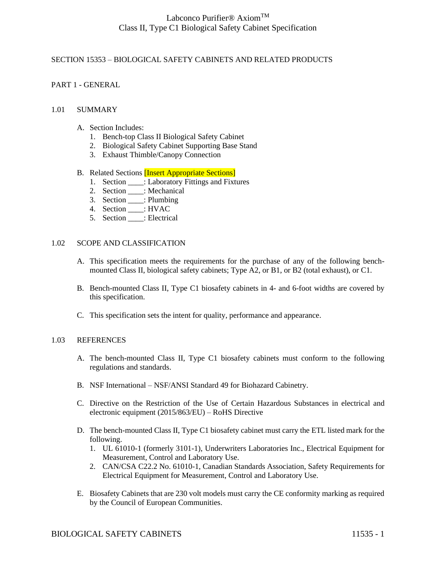### SECTION 15353 – BIOLOGICAL SAFETY CABINETS AND RELATED PRODUCTS

### PART 1 - GENERAL

#### 1.01 SUMMARY

- A. Section Includes:
	- 1. Bench-top Class II Biological Safety Cabinet
	- 2. Biological Safety Cabinet Supporting Base Stand
	- 3. Exhaust Thimble/Canopy Connection
- B. Related Sections [Insert Appropriate Sections]
	- 1. Section : Laboratory Fittings and Fixtures
	- 2. Section \_\_\_\_: Mechanical
	- 3. Section \_\_\_\_: Plumbing
	- 4. Section \_\_\_\_: HVAC
	- 5. Section \_\_\_\_: Electrical

#### 1.02 SCOPE AND CLASSIFICATION

- A. This specification meets the requirements for the purchase of any of the following benchmounted Class II, biological safety cabinets; Type A2, or B1, or B2 (total exhaust), or C1.
- B. Bench-mounted Class II, Type C1 biosafety cabinets in 4- and 6-foot widths are covered by this specification.
- C. This specification sets the intent for quality, performance and appearance.

#### 1.03 REFERENCES

- A. The bench-mounted Class II, Type C1 biosafety cabinets must conform to the following regulations and standards.
- B. NSF International NSF/ANSI Standard 49 for Biohazard Cabinetry.
- C. Directive on the Restriction of the Use of Certain Hazardous Substances in electrical and electronic equipment (2015/863/EU) – RoHS Directive
- D. The bench-mounted Class II, Type C1 biosafety cabinet must carry the ETL listed mark for the following.
	- 1. UL 61010-1 (formerly 3101-1), Underwriters Laboratories Inc., Electrical Equipment for Measurement, Control and Laboratory Use.
	- 2. CAN/CSA C22.2 No. 61010-1, Canadian Standards Association, Safety Requirements for Electrical Equipment for Measurement, Control and Laboratory Use.
- E. Biosafety Cabinets that are 230 volt models must carry the CE conformity marking as required by the Council of European Communities.

### BIOLOGICAL SAFETY CABINETS 11535 - 1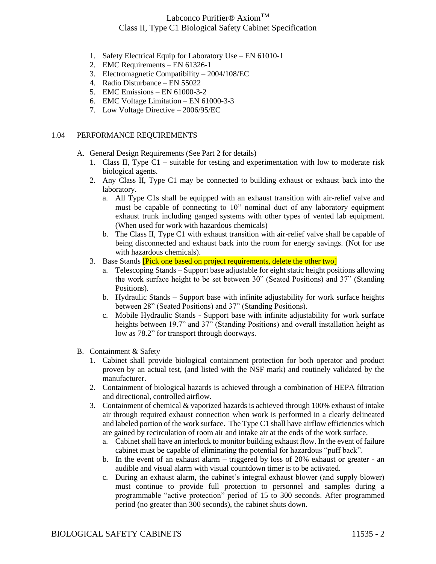- 1. Safety Electrical Equip for Laboratory Use EN 61010-1
- 2. EMC Requirements EN 61326-1
- 3. Electromagnetic Compatibility 2004/108/EC
- 4. Radio Disturbance EN 55022
- 5. EMC Emissions EN 61000-3-2
- 6. EMC Voltage Limitation EN 61000-3-3
- 7. Low Voltage Directive 2006/95/EC

#### 1.04 PERFORMANCE REQUIREMENTS

A. General Design Requirements (See Part 2 for details)

- 1. Class II, Type C1 suitable for testing and experimentation with low to moderate risk biological agents.
- 2. Any Class II, Type C1 may be connected to building exhaust or exhaust back into the laboratory.
	- a. All Type C1s shall be equipped with an exhaust transition with air-relief valve and must be capable of connecting to 10" nominal duct of any laboratory equipment exhaust trunk including ganged systems with other types of vented lab equipment. (When used for work with hazardous chemicals)
	- b. The Class II, Type C1 with exhaust transition with air-relief valve shall be capable of being disconnected and exhaust back into the room for energy savings. (Not for use with hazardous chemicals).
- 3. Base Stands **Pick one based on project requirements, delete the other two** 
	- a. Telescoping Stands Support base adjustable for eight static height positions allowing the work surface height to be set between 30" (Seated Positions) and 37" (Standing Positions).
	- b. Hydraulic Stands Support base with infinite adjustability for work surface heights between 28" (Seated Positions) and 37" (Standing Positions).
	- c. Mobile Hydraulic Stands Support base with infinite adjustability for work surface heights between 19.7" and 37" (Standing Positions) and overall installation height as low as 78.2" for transport through doorways.
- B. Containment & Safety
	- 1. Cabinet shall provide biological containment protection for both operator and product proven by an actual test, (and listed with the NSF mark) and routinely validated by the manufacturer.
	- 2. Containment of biological hazards is achieved through a combination of HEPA filtration and directional, controlled airflow.
	- 3. Containment of chemical & vaporized hazards is achieved through 100% exhaust of intake air through required exhaust connection when work is performed in a clearly delineated and labeled portion of the work surface. The Type C1 shall have airflow efficiencies which are gained by recirculation of room air and intake air at the ends of the work surface.
		- a. Cabinet shall have an interlock to monitor building exhaust flow. In the event of failure cabinet must be capable of eliminating the potential for hazardous "puff back".
		- b. In the event of an exhaust alarm triggered by loss of 20% exhaust or greater an audible and visual alarm with visual countdown timer is to be activated.
		- c. During an exhaust alarm, the cabinet's integral exhaust blower (and supply blower) must continue to provide full protection to personnel and samples during a programmable "active protection" period of 15 to 300 seconds. After programmed period (no greater than 300 seconds), the cabinet shuts down.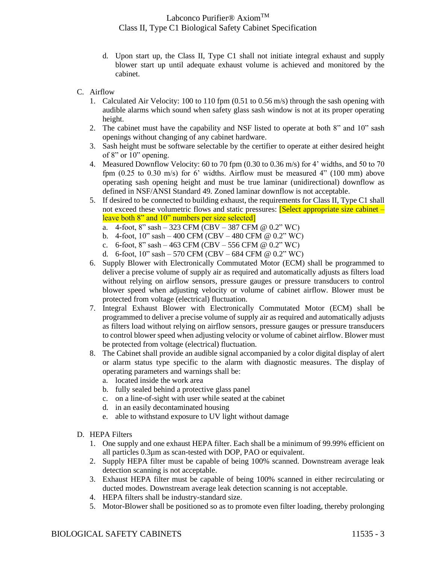- d. Upon start up, the Class II, Type C1 shall not initiate integral exhaust and supply blower start up until adequate exhaust volume is achieved and monitored by the cabinet.
- C. Airflow
	- 1. Calculated Air Velocity: 100 to 110 fpm (0.51 to 0.56 m/s) through the sash opening with audible alarms which sound when safety glass sash window is not at its proper operating height.
	- 2. The cabinet must have the capability and NSF listed to operate at both 8" and 10" sash openings without changing of any cabinet hardware.
	- 3. Sash height must be software selectable by the certifier to operate at either desired height of 8" or 10" opening.
	- 4. Measured Downflow Velocity: 60 to 70 fpm (0.30 to 0.36 m/s) for 4' widths, and 50 to 70 fpm (0.25 to 0.30 m/s) for 6' widths. Airflow must be measured 4" (100 mm) above operating sash opening height and must be true laminar (unidirectional) downflow as defined in NSF/ANSI Standard 49. Zoned laminar downflow is not acceptable.
	- 5. If desired to be connected to building exhaust, the requirements for Class II, Type C1 shall not exceed these volumetric flows and static pressures: **[Select appropriate size cabinet** – leave both 8" and 10" numbers per size selected]
		- a. 4-foot, 8" sash 323 CFM (CBV 387 CFM @ 0.2" WC)
		- b. 4-foot, 10" sash 400 CFM (CBV 480 CFM @ 0.2" WC)
		- c. 6-foot, 8" sash 463 CFM (CBV 556 CFM @  $0.2$ " WC)
		- d. 6-foot,  $10$ " sash 570 CFM (CBV 684 CFM @ 0.2" WC)
	- 6. Supply Blower with Electronically Commutated Motor (ECM) shall be programmed to deliver a precise volume of supply air as required and automatically adjusts as filters load without relying on airflow sensors, pressure gauges or pressure transducers to control blower speed when adjusting velocity or volume of cabinet airflow. Blower must be protected from voltage (electrical) fluctuation.
	- 7. Integral Exhaust Blower with Electronically Commutated Motor (ECM) shall be programmed to deliver a precise volume of supply air as required and automatically adjusts as filters load without relying on airflow sensors, pressure gauges or pressure transducers to control blower speed when adjusting velocity or volume of cabinet airflow. Blower must be protected from voltage (electrical) fluctuation.
	- 8. The Cabinet shall provide an audible signal accompanied by a color digital display of alert or alarm status type specific to the alarm with diagnostic measures. The display of operating parameters and warnings shall be:
		- a. located inside the work area
		- b. fully sealed behind a protective glass panel
		- c. on a line-of-sight with user while seated at the cabinet
		- d. in an easily decontaminated housing
		- e. able to withstand exposure to UV light without damage
- D. HEPA Filters
	- 1. One supply and one exhaust HEPA filter. Each shall be a minimum of 99.99% efficient on all particles 0.3µm as scan-tested with DOP, PAO or equivalent.
	- 2. Supply HEPA filter must be capable of being 100% scanned. Downstream average leak detection scanning is not acceptable.
	- 3. Exhaust HEPA filter must be capable of being 100% scanned in either recirculating or ducted modes. Downstream average leak detection scanning is not acceptable.
	- 4. HEPA filters shall be industry-standard size.
	- 5. Motor-Blower shall be positioned so as to promote even filter loading, thereby prolonging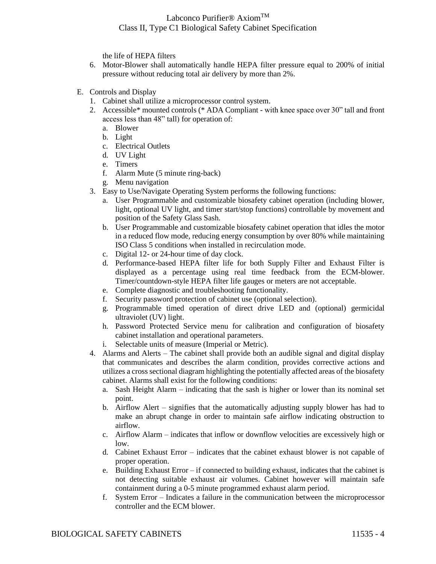the life of HEPA filters

- 6. Motor-Blower shall automatically handle HEPA filter pressure equal to 200% of initial pressure without reducing total air delivery by more than 2%.
- E. Controls and Display
	- 1. Cabinet shall utilize a microprocessor control system.
	- 2. Accessible\* mounted controls (\* ADA Compliant with knee space over 30" tall and front access less than 48" tall) for operation of:
		- a. Blower
		- b. Light
		- c. Electrical Outlets
		- d. UV Light
		- e. Timers
		- f. Alarm Mute (5 minute ring-back)
		- g. Menu navigation
	- 3. Easy to Use/Navigate Operating System performs the following functions:
		- a. User Programmable and customizable biosafety cabinet operation (including blower, light, optional UV light, and timer start/stop functions) controllable by movement and position of the Safety Glass Sash.
		- b. User Programmable and customizable biosafety cabinet operation that idles the motor in a reduced flow mode, reducing energy consumption by over 80% while maintaining ISO Class 5 conditions when installed in recirculation mode.
		- c. Digital 12- or 24-hour time of day clock.
		- d. Performance-based HEPA filter life for both Supply Filter and Exhaust Filter is displayed as a percentage using real time feedback from the ECM-blower. Timer/countdown-style HEPA filter life gauges or meters are not acceptable.
		- e. Complete diagnostic and troubleshooting functionality.
		- f. Security password protection of cabinet use (optional selection).
		- g. Programmable timed operation of direct drive LED and (optional) germicidal ultraviolet (UV) light.
		- h. Password Protected Service menu for calibration and configuration of biosafety cabinet installation and operational parameters.
		- i. Selectable units of measure (Imperial or Metric).
	- 4. Alarms and Alerts The cabinet shall provide both an audible signal and digital display that communicates and describes the alarm condition, provides corrective actions and utilizes a cross sectional diagram highlighting the potentially affected areas of the biosafety cabinet. Alarms shall exist for the following conditions:
		- a. Sash Height Alarm indicating that the sash is higher or lower than its nominal set point.
		- b. Airflow Alert signifies that the automatically adjusting supply blower has had to make an abrupt change in order to maintain safe airflow indicating obstruction to airflow.
		- c. Airflow Alarm indicates that inflow or downflow velocities are excessively high or low.
		- d. Cabinet Exhaust Error indicates that the cabinet exhaust blower is not capable of proper operation.
		- e. Building Exhaust Error if connected to building exhaust, indicates that the cabinet is not detecting suitable exhaust air volumes. Cabinet however will maintain safe containment during a 0-5 minute programmed exhaust alarm period.
		- f. System Error Indicates a failure in the communication between the microprocessor controller and the ECM blower.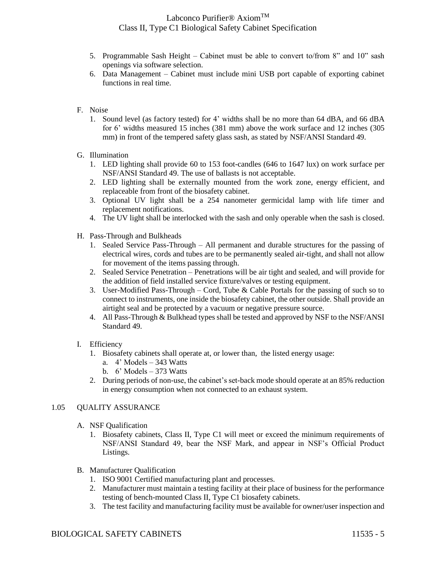- 5. Programmable Sash Height Cabinet must be able to convert to/from 8" and 10" sash openings via software selection.
- 6. Data Management Cabinet must include mini USB port capable of exporting cabinet functions in real time.
- F. Noise
	- 1. Sound level (as factory tested) for 4' widths shall be no more than 64 dBA, and 66 dBA for 6' widths measured 15 inches (381 mm) above the work surface and 12 inches (305 mm) in front of the tempered safety glass sash, as stated by NSF/ANSI Standard 49.
- G. Illumination
	- 1. LED lighting shall provide 60 to 153 foot-candles (646 to 1647 lux) on work surface per NSF/ANSI Standard 49. The use of ballasts is not acceptable.
	- 2. LED lighting shall be externally mounted from the work zone, energy efficient, and replaceable from front of the biosafety cabinet.
	- 3. Optional UV light shall be a 254 nanometer germicidal lamp with life timer and replacement notifications.
	- 4. The UV light shall be interlocked with the sash and only operable when the sash is closed.
- H. Pass-Through and Bulkheads
	- 1. Sealed Service Pass-Through All permanent and durable structures for the passing of electrical wires, cords and tubes are to be permanently sealed air-tight, and shall not allow for movement of the items passing through.
	- 2. Sealed Service Penetration Penetrations will be air tight and sealed, and will provide for the addition of field installed service fixture/valves or testing equipment.
	- 3. User-Modified Pass-Through Cord, Tube & Cable Portals for the passing of such so to connect to instruments, one inside the biosafety cabinet, the other outside. Shall provide an airtight seal and be protected by a vacuum or negative pressure source.
	- 4. All Pass-Through & Bulkhead types shall be tested and approved by NSF to the NSF/ANSI Standard 49.
- I. Efficiency
	- 1. Biosafety cabinets shall operate at, or lower than, the listed energy usage:
		- a. 4' Models 343 Watts
		- b. 6' Models 373 Watts
	- 2. During periods of non-use, the cabinet's set-back mode should operate at an 85% reduction in energy consumption when not connected to an exhaust system.

### 1.05 QUALITY ASSURANCE

- A. NSF Qualification
	- 1. Biosafety cabinets, Class II, Type C1 will meet or exceed the minimum requirements of NSF/ANSI Standard 49, bear the NSF Mark, and appear in NSF's Official Product Listings.
- B. Manufacturer Qualification
	- 1. ISO 9001 Certified manufacturing plant and processes.
	- 2. Manufacturer must maintain a testing facility at their place of business for the performance testing of bench-mounted Class II, Type C1 biosafety cabinets.
	- 3. The test facility and manufacturing facility must be available for owner/user inspection and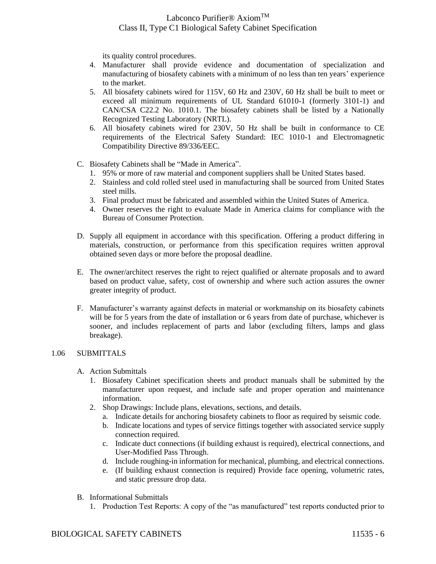its quality control procedures.

- 4. Manufacturer shall provide evidence and documentation of specialization and manufacturing of biosafety cabinets with a minimum of no less than ten years' experience to the market.
- 5. All biosafety cabinets wired for 115V, 60 Hz and 230V, 60 Hz shall be built to meet or exceed all minimum requirements of UL Standard 61010-1 (formerly 3101-1) and CAN/CSA C22.2 No. 1010.1. The biosafety cabinets shall be listed by a Nationally Recognized Testing Laboratory (NRTL).
- 6. All biosafety cabinets wired for 230V, 50 Hz shall be built in conformance to CE requirements of the Electrical Safety Standard: IEC 1010-1 and Electromagnetic Compatibility Directive 89/336/EEC.
- C. Biosafety Cabinets shall be "Made in America".
	- 1. 95% or more of raw material and component suppliers shall be United States based.
	- 2. Stainless and cold rolled steel used in manufacturing shall be sourced from United States steel mills.
	- 3. Final product must be fabricated and assembled within the United States of America.
	- 4. Owner reserves the right to evaluate Made in America claims for compliance with the Bureau of Consumer Protection.
- D. Supply all equipment in accordance with this specification. Offering a product differing in materials, construction, or performance from this specification requires written approval obtained seven days or more before the proposal deadline.
- E. The owner/architect reserves the right to reject qualified or alternate proposals and to award based on product value, safety, cost of ownership and where such action assures the owner greater integrity of product.
- F. Manufacturer's warranty against defects in material or workmanship on its biosafety cabinets will be for 5 years from the date of installation or 6 years from date of purchase, whichever is sooner, and includes replacement of parts and labor (excluding filters, lamps and glass breakage).

### 1.06 SUBMITTALS

- A. Action Submittals
	- 1. Biosafety Cabinet specification sheets and product manuals shall be submitted by the manufacturer upon request, and include safe and proper operation and maintenance information.
	- 2. Shop Drawings: Include plans, elevations, sections, and details.
		- a. Indicate details for anchoring biosafety cabinets to floor as required by seismic code.
		- b. Indicate locations and types of service fittings together with associated service supply connection required.
		- c. Indicate duct connections (if building exhaust is required), electrical connections, and User-Modified Pass Through.
		- d. Include roughing-in information for mechanical, plumbing, and electrical connections.
		- e. (If building exhaust connection is required) Provide face opening, volumetric rates, and static pressure drop data.
- B. Informational Submittals
	- 1. Production Test Reports: A copy of the "as manufactured" test reports conducted prior to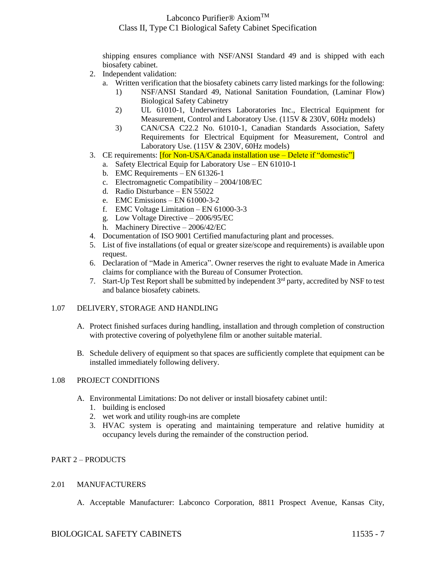shipping ensures compliance with NSF/ANSI Standard 49 and is shipped with each biosafety cabinet.

- 2. Independent validation:
	- a. Written verification that the biosafety cabinets carry listed markings for the following:
		- 1) NSF/ANSI Standard 49, National Sanitation Foundation, (Laminar Flow) Biological Safety Cabinetry
		- 2) UL 61010-1, Underwriters Laboratories Inc., Electrical Equipment for Measurement, Control and Laboratory Use. (115V & 230V, 60Hz models)
		- 3) CAN/CSA C22.2 No. 61010-1, Canadian Standards Association, Safety Requirements for Electrical Equipment for Measurement, Control and Laboratory Use.  $(115V \& 230V, 60Hz$  models)
- 3. CE requirements: [for Non-USA/Canada installation use Delete if "domestic"]
	- a. Safety Electrical Equip for Laboratory Use EN 61010-1
	- b. EMC Requirements EN 61326-1
	- c. Electromagnetic Compatibility 2004/108/EC
	- d. Radio Disturbance EN 55022
	- e. EMC Emissions EN 61000-3-2
	- f. EMC Voltage Limitation EN 61000-3-3
	- g. Low Voltage Directive 2006/95/EC
	- h. Machinery Directive 2006/42/EC
- 4. Documentation of ISO 9001 Certified manufacturing plant and processes.
- 5. List of five installations (of equal or greater size/scope and requirements) is available upon request.
- 6. Declaration of "Made in America". Owner reserves the right to evaluate Made in America claims for compliance with the Bureau of Consumer Protection.
- 7. Start-Up Test Report shall be submitted by independent  $3<sup>rd</sup>$  party, accredited by NSF to test and balance biosafety cabinets.

### 1.07 DELIVERY, STORAGE AND HANDLING

- A. Protect finished surfaces during handling, installation and through completion of construction with protective covering of polyethylene film or another suitable material.
- B. Schedule delivery of equipment so that spaces are sufficiently complete that equipment can be installed immediately following delivery.

### 1.08 PROJECT CONDITIONS

- A. Environmental Limitations: Do not deliver or install biosafety cabinet until:
	- 1. building is enclosed
	- 2. wet work and utility rough-ins are complete
	- 3. HVAC system is operating and maintaining temperature and relative humidity at occupancy levels during the remainder of the construction period.

### PART 2 – PRODUCTS

### 2.01 MANUFACTURERS

A. Acceptable Manufacturer: Labconco Corporation, 8811 Prospect Avenue, Kansas City,

### BIOLOGICAL SAFETY CABINETS 11535 - 7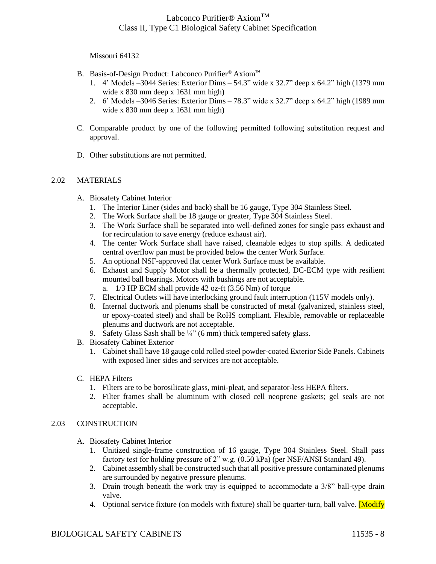Missouri 64132

- B. Basis-of-Design Product: Labconco Purifier® Axiom™
	- 1. 4' Models –3044 Series: Exterior Dims 54.3" wide x 32.7" deep x 64.2" high (1379 mm wide x 830 mm deep x 1631 mm high)
	- 2. 6' Models –3046 Series: Exterior Dims 78.3" wide x 32.7" deep x 64.2" high (1989 mm wide x 830 mm deep x 1631 mm high)
- C. Comparable product by one of the following permitted following substitution request and approval.
- D. Other substitutions are not permitted.

### 2.02 MATERIALS

- A. Biosafety Cabinet Interior
	- 1. The Interior Liner (sides and back) shall be 16 gauge, Type 304 Stainless Steel.
	- 2. The Work Surface shall be 18 gauge or greater, Type 304 Stainless Steel.
	- 3. The Work Surface shall be separated into well-defined zones for single pass exhaust and for recirculation to save energy (reduce exhaust air).
	- 4. The center Work Surface shall have raised, cleanable edges to stop spills. A dedicated central overflow pan must be provided below the center Work Surface.
	- 5. An optional NSF-approved flat center Work Surface must be available.
	- 6. Exhaust and Supply Motor shall be a thermally protected, DC-ECM type with resilient mounted ball bearings. Motors with bushings are not acceptable.
		- a. 1/3 HP ECM shall provide 42 oz-ft (3.56 Nm) of torque
	- 7. Electrical Outlets will have interlocking ground fault interruption (115V models only).
	- 8. Internal ductwork and plenums shall be constructed of metal (galvanized, stainless steel, or epoxy-coated steel) and shall be RoHS compliant. Flexible, removable or replaceable plenums and ductwork are not acceptable.
	- 9. Safety Glass Sash shall be  $\frac{1}{4}$ " (6 mm) thick tempered safety glass.
- B. Biosafety Cabinet Exterior
	- 1. Cabinet shall have 18 gauge cold rolled steel powder-coated Exterior Side Panels. Cabinets with exposed liner sides and services are not acceptable.
- C. HEPA Filters
	- 1. Filters are to be borosilicate glass, mini-pleat, and separator-less HEPA filters.
	- 2. Filter frames shall be aluminum with closed cell neoprene gaskets; gel seals are not acceptable.

### 2.03 CONSTRUCTION

- A. Biosafety Cabinet Interior
	- 1. Unitized single-frame construction of 16 gauge, Type 304 Stainless Steel. Shall pass factory test for holding pressure of 2" w.g. (0.50 kPa) (per NSF/ANSI Standard 49).
	- 2. Cabinet assembly shall be constructed such that all positive pressure contaminated plenums are surrounded by negative pressure plenums.
	- 3. Drain trough beneath the work tray is equipped to accommodate a 3/8" ball-type drain valve.
	- 4. Optional service fixture (on models with fixture) shall be quarter-turn, ball valve. **[Modify**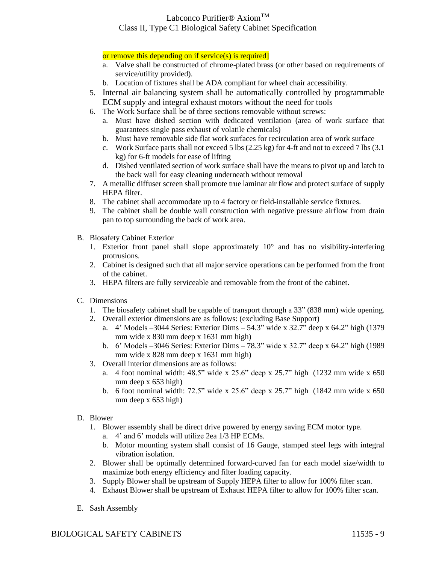or remove this depending on if service(s) is required]

- a. Valve shall be constructed of chrome-plated brass (or other based on requirements of service/utility provided).
- b. Location of fixtures shall be ADA compliant for wheel chair accessibility.
- 5. Internal air balancing system shall be automatically controlled by programmable ECM supply and integral exhaust motors without the need for tools
- 6. The Work Surface shall be of three sections removable without screws:
	- a. Must have dished section with dedicated ventilation (area of work surface that guarantees single pass exhaust of volatile chemicals)
	- b. Must have removable side flat work surfaces for recirculation area of work surface
	- c. Work Surface parts shall not exceed 5 lbs (2.25 kg) for 4-ft and not to exceed 7 lbs (3.1 kg) for 6-ft models for ease of lifting
	- d. Dished ventilated section of work surface shall have the means to pivot up and latch to the back wall for easy cleaning underneath without removal
- 7. A metallic diffuser screen shall promote true laminar air flow and protect surface of supply HEPA filter.
- 8. The cabinet shall accommodate up to 4 factory or field-installable service fixtures.
- 9. The cabinet shall be double wall construction with negative pressure airflow from drain pan to top surrounding the back of work area.
- B. Biosafety Cabinet Exterior
	- 1. Exterior front panel shall slope approximately 10° and has no visibility-interfering protrusions.
	- 2. Cabinet is designed such that all major service operations can be performed from the front of the cabinet.
	- 3. HEPA filters are fully serviceable and removable from the front of the cabinet.
- C. Dimensions
	- 1. The biosafety cabinet shall be capable of transport through a 33" (838 mm) wide opening.
	- 2. Overall exterior dimensions are as follows: (excluding Base Support)
		- a. 4' Models –3044 Series: Exterior Dims 54.3" wide x 32.7" deep x 64.2" high (1379 mm wide x 830 mm deep x 1631 mm high)
		- b. 6' Models –3046 Series: Exterior Dims 78.3" wide x 32.7" deep x 64.2" high (1989 mm wide x 828 mm deep x 1631 mm high)
	- 3. Overall interior dimensions are as follows:
		- a. 4 foot nominal width:  $48.5$ " wide x  $25.6$ " deep x  $25.7$ " high (1232 mm wide x 650) mm deep x 653 high)
		- b. 6 foot nominal width: 72.5" wide x 25.6" deep x 25.7" high (1842 mm wide x 650 mm deep x 653 high)
- D. Blower
	- 1. Blower assembly shall be direct drive powered by energy saving ECM motor type.
		- a. 4' and 6' models will utilize 2ea 1/3 HP ECMs.
		- b. Motor mounting system shall consist of 16 Gauge, stamped steel legs with integral vibration isolation.
	- 2. Blower shall be optimally determined forward-curved fan for each model size/width to maximize both energy efficiency and filter loading capacity.
	- 3. Supply Blower shall be upstream of Supply HEPA filter to allow for 100% filter scan.
	- 4. Exhaust Blower shall be upstream of Exhaust HEPA filter to allow for 100% filter scan.
- E. Sash Assembly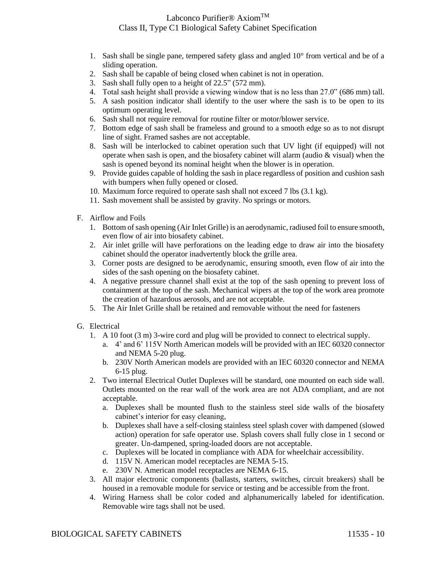- 1. Sash shall be single pane, tempered safety glass and angled 10° from vertical and be of a sliding operation.
- 2. Sash shall be capable of being closed when cabinet is not in operation.
- 3. Sash shall fully open to a height of 22.5" (572 mm).
- 4. Total sash height shall provide a viewing window that is no less than 27.0" (686 mm) tall.
- 5. A sash position indicator shall identify to the user where the sash is to be open to its optimum operating level.
- 6. Sash shall not require removal for routine filter or motor/blower service.
- 7. Bottom edge of sash shall be frameless and ground to a smooth edge so as to not disrupt line of sight. Framed sashes are not acceptable.
- 8. Sash will be interlocked to cabinet operation such that UV light (if equipped) will not operate when sash is open, and the biosafety cabinet will alarm (audio & visual) when the sash is opened beyond its nominal height when the blower is in operation.
- 9. Provide guides capable of holding the sash in place regardless of position and cushion sash with bumpers when fully opened or closed.
- 10. Maximum force required to operate sash shall not exceed 7 lbs (3.1 kg).
- 11. Sash movement shall be assisted by gravity. No springs or motors.
- F. Airflow and Foils
	- 1. Bottom of sash opening (Air Inlet Grille) is an aerodynamic, radiused foil to ensure smooth, even flow of air into biosafety cabinet.
	- 2. Air inlet grille will have perforations on the leading edge to draw air into the biosafety cabinet should the operator inadvertently block the grille area.
	- 3. Corner posts are designed to be aerodynamic, ensuring smooth, even flow of air into the sides of the sash opening on the biosafety cabinet.
	- 4. A negative pressure channel shall exist at the top of the sash opening to prevent loss of containment at the top of the sash. Mechanical wipers at the top of the work area promote the creation of hazardous aerosols, and are not acceptable.
	- 5. The Air Inlet Grille shall be retained and removable without the need for fasteners
- G. Electrical
	- 1. A 10 foot (3 m) 3-wire cord and plug will be provided to connect to electrical supply.
		- a. 4' and 6' 115V North American models will be provided with an IEC 60320 connector and NEMA 5-20 plug.
		- b. 230V North American models are provided with an IEC 60320 connector and NEMA 6-15 plug.
	- 2. Two internal Electrical Outlet Duplexes will be standard, one mounted on each side wall. Outlets mounted on the rear wall of the work area are not ADA compliant, and are not acceptable.
		- a. Duplexes shall be mounted flush to the stainless steel side walls of the biosafety cabinet's interior for easy cleaning,
		- b. Duplexes shall have a self-closing stainless steel splash cover with dampened (slowed action) operation for safe operator use. Splash covers shall fully close in 1 second or greater. Un-dampened, spring-loaded doors are not acceptable.
		- c. Duplexes will be located in compliance with ADA for wheelchair accessibility.
		- d. 115V N. American model receptacles are NEMA 5-15.
		- e. 230V N. American model receptacles are NEMA 6-15.
	- 3. All major electronic components (ballasts, starters, switches, circuit breakers) shall be housed in a removable module for service or testing and be accessible from the front.
	- 4. Wiring Harness shall be color coded and alphanumerically labeled for identification. Removable wire tags shall not be used.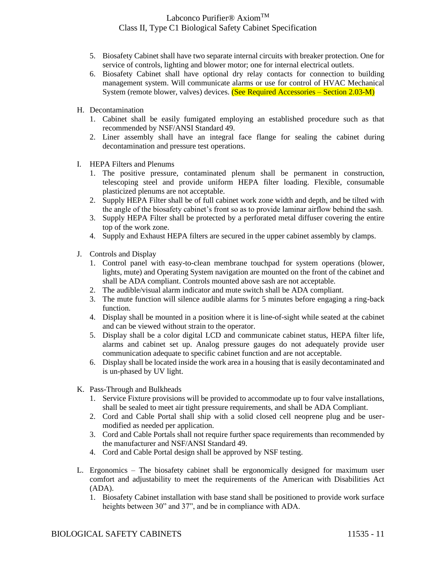- 5. Biosafety Cabinet shall have two separate internal circuits with breaker protection. One for service of controls, lighting and blower motor; one for internal electrical outlets.
- 6. Biosafety Cabinet shall have optional dry relay contacts for connection to building management system. Will communicate alarms or use for control of HVAC Mechanical System (remote blower, valves) devices. (See Required Accessories – Section 2.03-M)
- H. Decontamination
	- 1. Cabinet shall be easily fumigated employing an established procedure such as that recommended by NSF/ANSI Standard 49.
	- 2. Liner assembly shall have an integral face flange for sealing the cabinet during decontamination and pressure test operations.
- I. HEPA Filters and Plenums
	- 1. The positive pressure, contaminated plenum shall be permanent in construction, telescoping steel and provide uniform HEPA filter loading. Flexible, consumable plasticized plenums are not acceptable.
	- 2. Supply HEPA Filter shall be of full cabinet work zone width and depth, and be tilted with the angle of the biosafety cabinet's front so as to provide laminar airflow behind the sash.
	- 3. Supply HEPA Filter shall be protected by a perforated metal diffuser covering the entire top of the work zone.
	- 4. Supply and Exhaust HEPA filters are secured in the upper cabinet assembly by clamps.
- J. Controls and Display
	- 1. Control panel with easy-to-clean membrane touchpad for system operations (blower, lights, mute) and Operating System navigation are mounted on the front of the cabinet and shall be ADA compliant. Controls mounted above sash are not acceptable.
	- 2. The audible/visual alarm indicator and mute switch shall be ADA compliant.
	- 3. The mute function will silence audible alarms for 5 minutes before engaging a ring-back function.
	- 4. Display shall be mounted in a position where it is line-of-sight while seated at the cabinet and can be viewed without strain to the operator.
	- 5. Display shall be a color digital LCD and communicate cabinet status, HEPA filter life, alarms and cabinet set up. Analog pressure gauges do not adequately provide user communication adequate to specific cabinet function and are not acceptable.
	- 6. Display shall be located inside the work area in a housing that is easily decontaminated and is un-phased by UV light.
- K. Pass-Through and Bulkheads
	- 1. Service Fixture provisions will be provided to accommodate up to four valve installations, shall be sealed to meet air tight pressure requirements, and shall be ADA Compliant.
	- 2. Cord and Cable Portal shall ship with a solid closed cell neoprene plug and be usermodified as needed per application.
	- 3. Cord and Cable Portals shall not require further space requirements than recommended by the manufacturer and NSF/ANSI Standard 49.
	- 4. Cord and Cable Portal design shall be approved by NSF testing.
- L. Ergonomics The biosafety cabinet shall be ergonomically designed for maximum user comfort and adjustability to meet the requirements of the American with Disabilities Act (ADA).
	- 1. Biosafety Cabinet installation with base stand shall be positioned to provide work surface heights between 30" and 37", and be in compliance with ADA.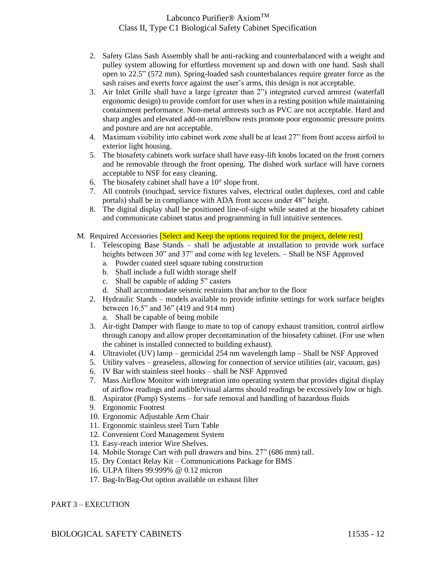- 2. Safety Glass Sash Assembly shall be anti-racking and counterbalanced with a weight and pulley system allowing for effortless movement up and down with one hand. Sash shall open to 22.5" (572 mm). Spring-loaded sash counterbalances require greater force as the sash raises and exerts force against the user's arms, this design is not acceptable.
- 3. Air Inlet Grille shall have a large (greater than 2") integrated curved armrest (waterfall ergonomic design) to provide comfort for user when in a resting position while maintaining containment performance. Non-metal armrests such as PVC are not acceptable. Hard and sharp angles and elevated add-on arm/elbow rests promote poor ergonomic pressure points and posture and are not acceptable.
- 4. Maximum visibility into cabinet work zone shall be at least 27" from front access airfoil to exterior light housing.
- 5. The biosafety cabinets work surface shall have easy-lift knobs located on the front corners and be removable through the front opening. The dished work surface will have corners acceptable to NSF for easy cleaning.
- 6. The biosafety cabinet shall have a 10° slope front.
- 7. All controls (touchpad, service fixtures valves, electrical outlet duplexes, cord and cable portals) shall be in compliance with ADA front access under 48" height.
- 8. The digital display shall be positioned line-of-sight while seated at the biosafety cabinet and communicate cabinet status and programming in full intuitive sentences.
- M. Required Accessories **[Select and Keep the options required for the project, delete rest**]
	- 1. Telescoping Base Stands shall be adjustable at installation to provide work surface heights between 30" and 37" and come with leg levelers. – Shall be NSF Approved
		- a. Powder coated steel square tubing construction
		- b. Shall include a full width storage shelf
		- c. Shall be capable of adding 5" casters
		- d. Shall accommodate seismic restraints that anchor to the floor
	- 2. Hydraulic Stands models available to provide infinite settings for work surface heights between 16.5" and 36" (419 and 914 mm)
		- a. Shall be capable of being mobile
	- 3. Air-tight Damper with flange to mate to top of canopy exhaust transition, control airflow through canopy and allow proper decontamination of the biosafety cabinet. (For use when the cabinet is installed connected to building exhaust).
	- 4. Ultraviolet (UV) lamp germicidal 254 nm wavelength lamp Shall be NSF Approved
	- 5. Utility valves greaseless, allowing for connection of service utilities (air, vacuum, gas)
	- 6. IV Bar with stainless steel hooks shall be NSF Approved
	- 7. Mass Airflow Monitor with integration into operating system that provides digital display of airflow readings and audible/visual alarms should readings be excessively low or high.
	- 8. Aspirator (Pump) Systems for safe removal and handling of hazardous fluids
	- 9. Ergonomic Footrest
	- 10. Ergonomic Adjustable Arm Chair
	- 11. Ergonomic stainless steel Turn Table
	- 12. Convenient Cord Management System
	- 13. Easy-reach interior Wire Shelves.
	- 14. Mobile Storage Cart with pull drawers and bins. 27" (686 mm) tall.
	- 15. Dry Contact Relay Kit Communications Package for BMS
	- 16. ULPA filters 99.999% @ 0.12 micron
	- 17. Bag-In/Bag-Out option available on exhaust filter

### PART 3 – EXECUTION

### BIOLOGICAL SAFETY CABINETS 11535 - 12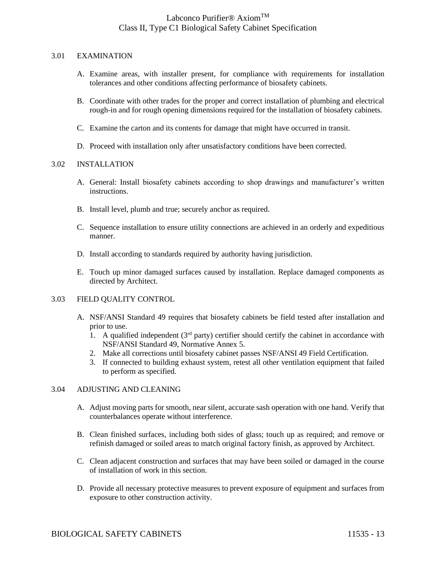#### 3.01 EXAMINATION

- A. Examine areas, with installer present, for compliance with requirements for installation tolerances and other conditions affecting performance of biosafety cabinets.
- B. Coordinate with other trades for the proper and correct installation of plumbing and electrical rough-in and for rough opening dimensions required for the installation of biosafety cabinets.
- C. Examine the carton and its contents for damage that might have occurred in transit.
- D. Proceed with installation only after unsatisfactory conditions have been corrected.

#### 3.02 INSTALLATION

- A. General: Install biosafety cabinets according to shop drawings and manufacturer's written instructions.
- B. Install level, plumb and true; securely anchor as required.
- C. Sequence installation to ensure utility connections are achieved in an orderly and expeditious manner.
- D. Install according to standards required by authority having jurisdiction.
- E. Touch up minor damaged surfaces caused by installation. Replace damaged components as directed by Architect.

### 3.03 FIELD QUALITY CONTROL

- A. NSF/ANSI Standard 49 requires that biosafety cabinets be field tested after installation and prior to use.
	- 1. A qualified independent ( $3<sup>rd</sup>$  party) certifier should certify the cabinet in accordance with NSF/ANSI Standard 49, Normative Annex 5.
	- 2. Make all corrections until biosafety cabinet passes NSF/ANSI 49 Field Certification.
	- 3. If connected to building exhaust system, retest all other ventilation equipment that failed to perform as specified.

#### 3.04 ADJUSTING AND CLEANING

- A. Adjust moving parts for smooth, near silent, accurate sash operation with one hand. Verify that counterbalances operate without interference.
- B. Clean finished surfaces, including both sides of glass; touch up as required; and remove or refinish damaged or soiled areas to match original factory finish, as approved by Architect.
- C. Clean adjacent construction and surfaces that may have been soiled or damaged in the course of installation of work in this section.
- D. Provide all necessary protective measures to prevent exposure of equipment and surfaces from exposure to other construction activity.